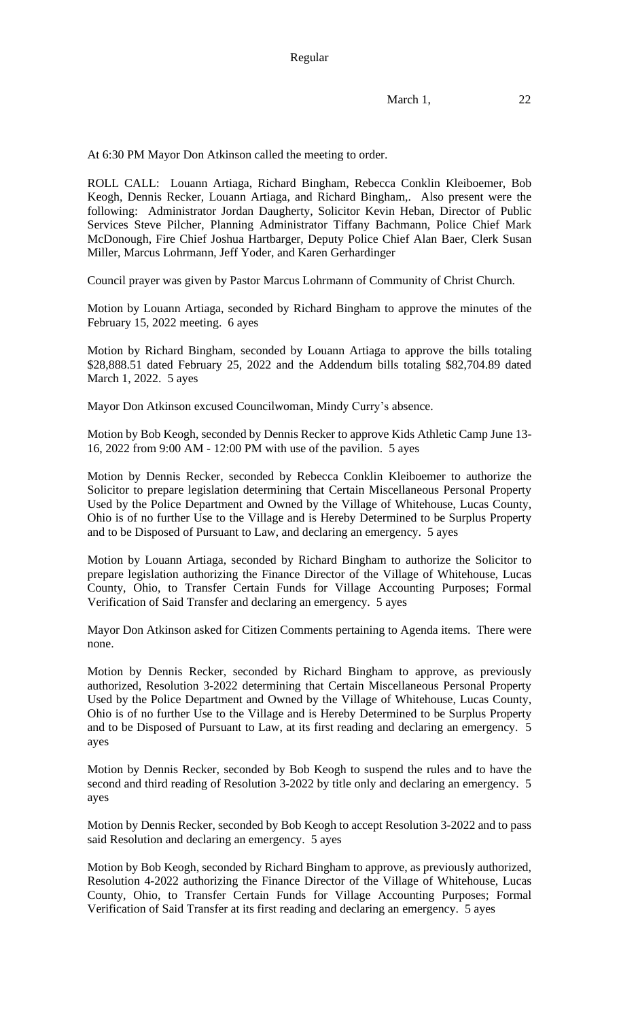At 6:30 PM Mayor Don Atkinson called the meeting to order.

ROLL CALL: Louann Artiaga, Richard Bingham, Rebecca Conklin Kleiboemer, Bob Keogh, Dennis Recker, Louann Artiaga, and Richard Bingham,. Also present were the following: Administrator Jordan Daugherty, Solicitor Kevin Heban, Director of Public Services Steve Pilcher, Planning Administrator Tiffany Bachmann, Police Chief Mark McDonough, Fire Chief Joshua Hartbarger, Deputy Police Chief Alan Baer, Clerk Susan Miller, Marcus Lohrmann, Jeff Yoder, and Karen Gerhardinger

Council prayer was given by Pastor Marcus Lohrmann of Community of Christ Church.

Motion by Louann Artiaga, seconded by Richard Bingham to approve the minutes of the February 15, 2022 meeting. 6 ayes

Motion by Richard Bingham, seconded by Louann Artiaga to approve the bills totaling \$28,888.51 dated February 25, 2022 and the Addendum bills totaling \$82,704.89 dated March 1, 2022. 5 ayes

Mayor Don Atkinson excused Councilwoman, Mindy Curry's absence.

Motion by Bob Keogh, seconded by Dennis Recker to approve Kids Athletic Camp June 13- 16, 2022 from 9:00 AM - 12:00 PM with use of the pavilion. 5 ayes

Motion by Dennis Recker, seconded by Rebecca Conklin Kleiboemer to authorize the Solicitor to prepare legislation determining that Certain Miscellaneous Personal Property Used by the Police Department and Owned by the Village of Whitehouse, Lucas County, Ohio is of no further Use to the Village and is Hereby Determined to be Surplus Property and to be Disposed of Pursuant to Law, and declaring an emergency. 5 ayes

Motion by Louann Artiaga, seconded by Richard Bingham to authorize the Solicitor to prepare legislation authorizing the Finance Director of the Village of Whitehouse, Lucas County, Ohio, to Transfer Certain Funds for Village Accounting Purposes; Formal Verification of Said Transfer and declaring an emergency. 5 ayes

Mayor Don Atkinson asked for Citizen Comments pertaining to Agenda items. There were none.

Motion by Dennis Recker, seconded by Richard Bingham to approve, as previously authorized, Resolution 3-2022 determining that Certain Miscellaneous Personal Property Used by the Police Department and Owned by the Village of Whitehouse, Lucas County, Ohio is of no further Use to the Village and is Hereby Determined to be Surplus Property and to be Disposed of Pursuant to Law, at its first reading and declaring an emergency. 5 ayes

Motion by Dennis Recker, seconded by Bob Keogh to suspend the rules and to have the second and third reading of Resolution 3-2022 by title only and declaring an emergency. 5 ayes

Motion by Dennis Recker, seconded by Bob Keogh to accept Resolution 3-2022 and to pass said Resolution and declaring an emergency. 5 ayes

Motion by Bob Keogh, seconded by Richard Bingham to approve, as previously authorized, Resolution 4-2022 authorizing the Finance Director of the Village of Whitehouse, Lucas County, Ohio, to Transfer Certain Funds for Village Accounting Purposes; Formal Verification of Said Transfer at its first reading and declaring an emergency. 5 ayes